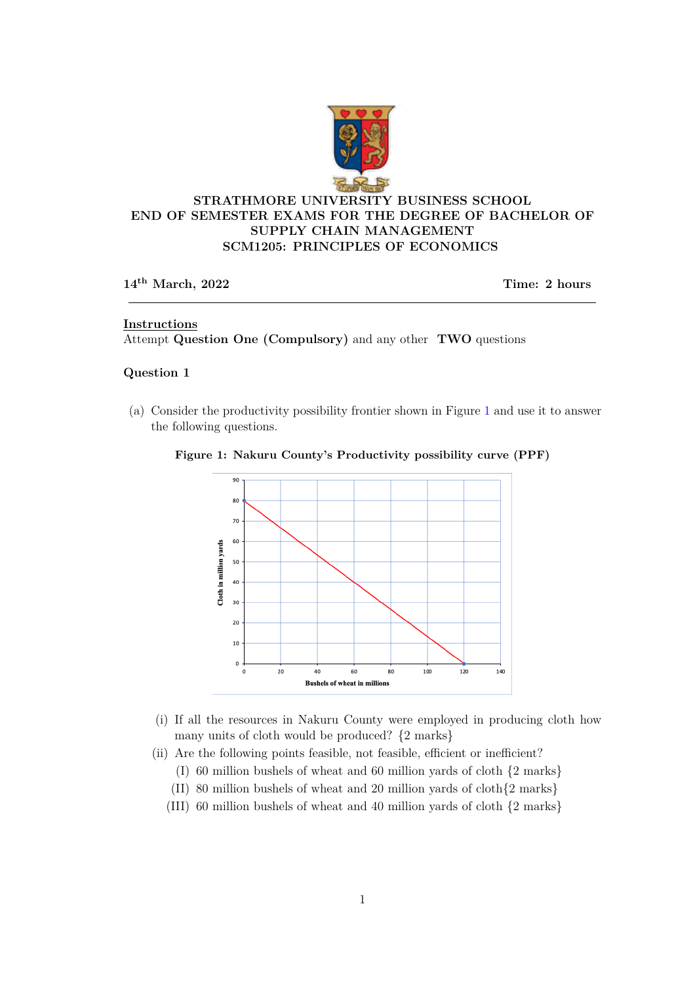

# **STRATHMORE UNIVERSITY BUSINESS SCHOOL END OF SEMESTER EXAMS FOR THE DEGREE OF BACHELOR OF SUPPLY CHAIN MANAGEMENT SCM1205: PRINCIPLES OF ECONOMICS**

## **14th March, 2022 Time: 2 hours**

## **Instructions**

Attempt **Question One (Compulsory)** and any other **TWO** questions

### **Question 1**

(a) Consider the productivity possibility frontier shown in Figure 1 and use it to answer the following questions.



### **Figure 1: Nakuru County's Productivity possibility curve (PPF)**

- (i) If all the resources in Nakuru County were employed in producing cloth how many units of cloth would be produced? {2 marks}
- (ii) Are the following points feasible, not feasible, efficient or inefficient?
	- (I) 60 million bushels of wheat and 60 million yards of cloth {2 marks}
	- (II) 80 million bushels of wheat and 20 million yards of cloth{2 marks}
	- (III) 60 million bushels of wheat and 40 million yards of cloth {2 marks}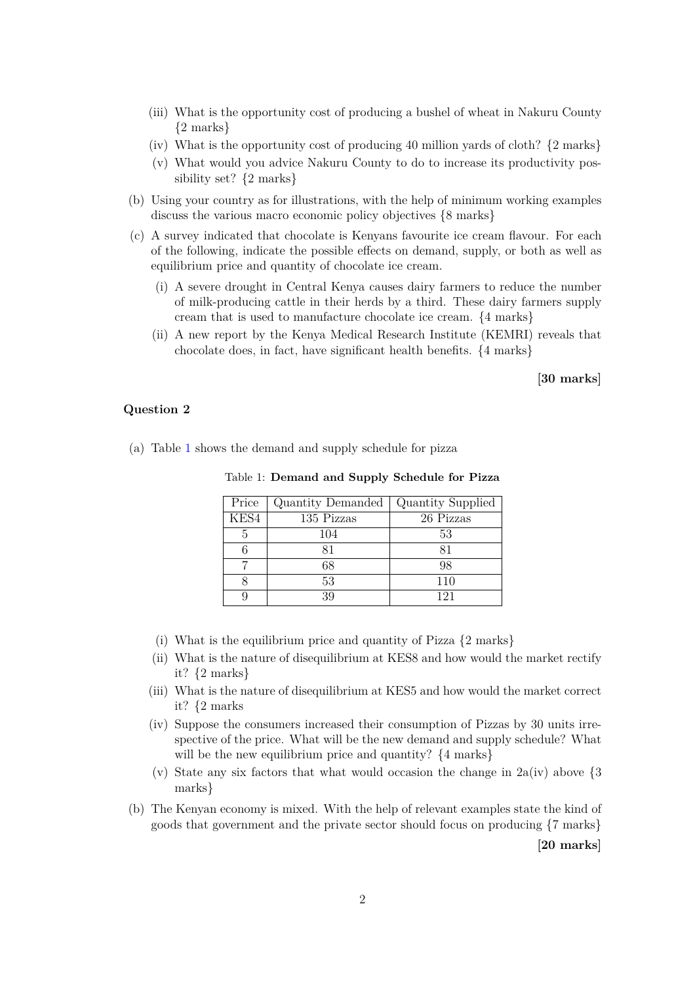- (iii) What is the opportunity cost of producing a bushel of wheat in Nakuru County {2 marks}
- (iv) What is the opportunity cost of producing 40 million yards of cloth? {2 marks}
- (v) What would you advice Nakuru County to do to increase its productivity possibility set? {2 marks}
- (b) Using your country as for illustrations, with the help of minimum working examples discuss the various macro economic policy objectives  $\{8 \text{ marks}\}$
- (c) A survey indicated that chocolate is Kenyans favourite ice cream flavour. For each of the following, indicate the possible effects on demand, supply, or both as well as equilibrium price and quantity of chocolate ice cream.
	- (i) A severe drought in Central Kenya causes dairy farmers to reduce the number of milk-producing cattle in their herds by a third. These dairy farmers supply cream that is used to manufacture chocolate ice cream. {4 marks}
	- (ii) A new report by the Kenya Medical Research Institute (KEMRI) reveals that chocolate does, in fact, have significant health benefits. {4 marks}

**[30 marks]**

### **Question 2**

(a) Table 1 shows the demand and supply schedule for pizza

| Table 1: Demand and Supply Schedule for Pizza |  |
|-----------------------------------------------|--|
|-----------------------------------------------|--|

| Price | Quantity Demanded | Quantity Supplied |
|-------|-------------------|-------------------|
| KES4  | 135 Pizzas        | 26 Pizzas         |
| 5     | 104               | 53                |
|       | 81                | 81                |
|       | 68                | 98                |
|       | 53                | 110               |
|       | 39                | 121               |

- (i) What is the equilibrium price and quantity of Pizza {2 marks}
- (ii) What is the nature of disequilibrium at KES8 and how would the market rectify it? {2 marks}
- (iii) What is the nature of disequilibrium at KES5 and how would the market correct it? {2 marks
- (iv) Suppose the consumers increased their consumption of Pizzas by 30 units irrespective of the price. What will be the new demand and supply schedule? What will be the new equilibrium price and quantity?  $\{4 \text{ marks}\}$
- (v) State any six factors that what would occasion the change in  $2a(iv)$  above  $\{3\}$ marks}
- (b) The Kenyan economy is mixed. With the help of relevant examples state the kind of goods that government and the private sector should focus on producing {7 marks}

**[20 marks]**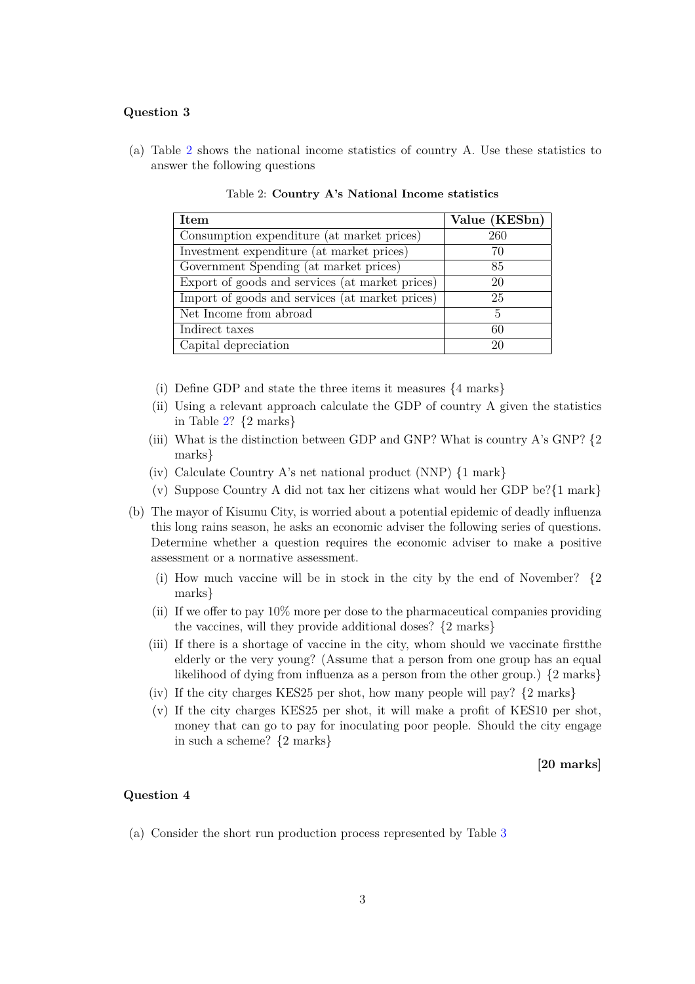#### **Question 3**

(a) Table 2 shows the national income statistics of country A. Use these statistics to answer the following questions

| <b>Item</b>                                     | Value (KESbn) |
|-------------------------------------------------|---------------|
| Consumption expenditure (at market prices)      | 260           |
| Investment expenditure (at market prices)       | 70            |
| Government Spending (at market prices)          | 85            |
| Export of goods and services (at market prices) | 20            |
| Import of goods and services (at market prices) | 25            |
| Net Income from abroad                          | 5             |
| Indirect taxes                                  | 60            |
| Capital depreciation                            | 20            |

Table 2: **Country A's National Income statistics**

- (i) Define GDP and state the three items it measures {4 marks}
- (ii) Using a relevant approach calculate the GDP of country A given the statistics in Table 2? {2 marks}
- (iii) What is the distinction between GDP and GNP? What is country A's GNP?  $\{2\}$ marks}
- (iv) Calculate Country A's net national product (NNP) {1 mark}
- (v) Suppose Country A did not tax her citizens what would her GDP be?{1 mark}
- (b) The mayor of Kisumu City, is worried about a potential epidemic of deadly influenza this long rains season, he asks an economic adviser the following series of questions. Determine whether a question requires the economic adviser to make a positive assessment or a normative assessment.
	- (i) How much vaccine will be in stock in the city by the end of November? {2 marks}
	- (ii) If we offer to pay 10% more per dose to the pharmaceutical companies providing the vaccines, will they provide additional doses? {2 marks}
	- (iii) If there is a shortage of vaccine in the city, whom should we vaccinate firstthe elderly or the very young? (Assume that a person from one group has an equal likelihood of dying from influenza as a person from the other group.) {2 marks}
	- (iv) If the city charges KES25 per shot, how many people will pay? {2 marks}
	- (v) If the city charges KES25 per shot, it will make a profit of KES10 per shot, money that can go to pay for inoculating poor people. Should the city engage in such a scheme? {2 marks}

**[20 marks]**

#### **Question 4**

(a) Consider the short run production process represented by Table 3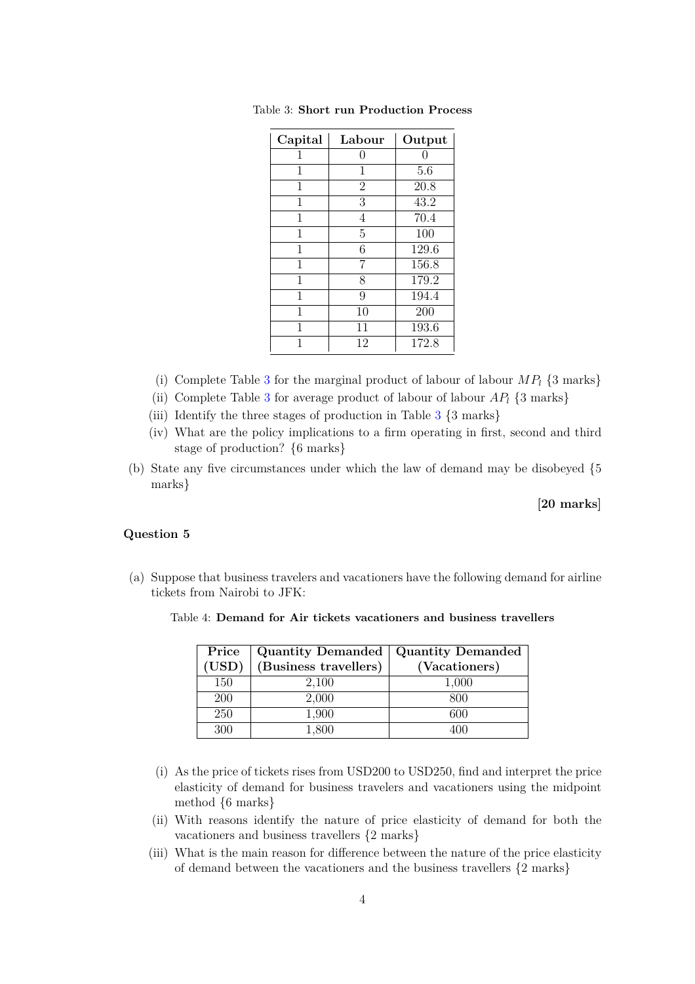| Capital | Labour         | Output |
|---------|----------------|--------|
| 1       | 0              | 0      |
| 1       | 1              | 5.6    |
| 1       | $\overline{2}$ | 20.8   |
| 1       | 3              | 43.2   |
| 1       | 4              | 70.4   |
| 1       | 5              | 100    |
| 1       | 6              | 129.6  |
| 1       | 7              | 156.8  |
| 1       | 8              | 179.2  |
| 1       | 9              | 194.4  |
| 1       | 10             | 200    |
| 1       | 11             | 193.6  |
| 1       | 12             | 172.8  |

Table 3: **Short run Production Process**

- (i) Complete Table 3 for the marginal product of labour of labour  $MP_l$  {3 marks}
- (ii) Complete Table 3 for average product of labour of labour  $AP_l$  {3 marks}
- (iii) Identify the three stages of production in Table 3 {3 marks}
- (iv) What are the policy implications to a firm operating in first, second and third stage of production? {6 marks}
- (b) State any five circumstances under which the law of demand may be disobeyed {5 marks}

**[20 marks]**

#### **Question 5**

(a) Suppose that business travelers and vacationers have the following demand for airline tickets from Nairobi to JFK:

|       | Price   Quantity Demanded   Quantity Demanded |               |
|-------|-----------------------------------------------|---------------|
| (USD) | $\vert$ (Business travellers)                 | (Vacationers) |
|       |                                               |               |

200 2,000 800 250 1,900 600 300 1,800 400

Table 4: **Demand for Air tickets vacationers and business travellers**

- (i) As the price of tickets rises from USD200 to USD250, find and interpret the price elasticity of demand for business travelers and vacationers using the midpoint method {6 marks}
- (ii) With reasons identify the nature of price elasticity of demand for both the vacationers and business travellers {2 marks}
- (iii) What is the main reason for difference between the nature of the price elasticity of demand between the vacationers and the business travellers {2 marks}